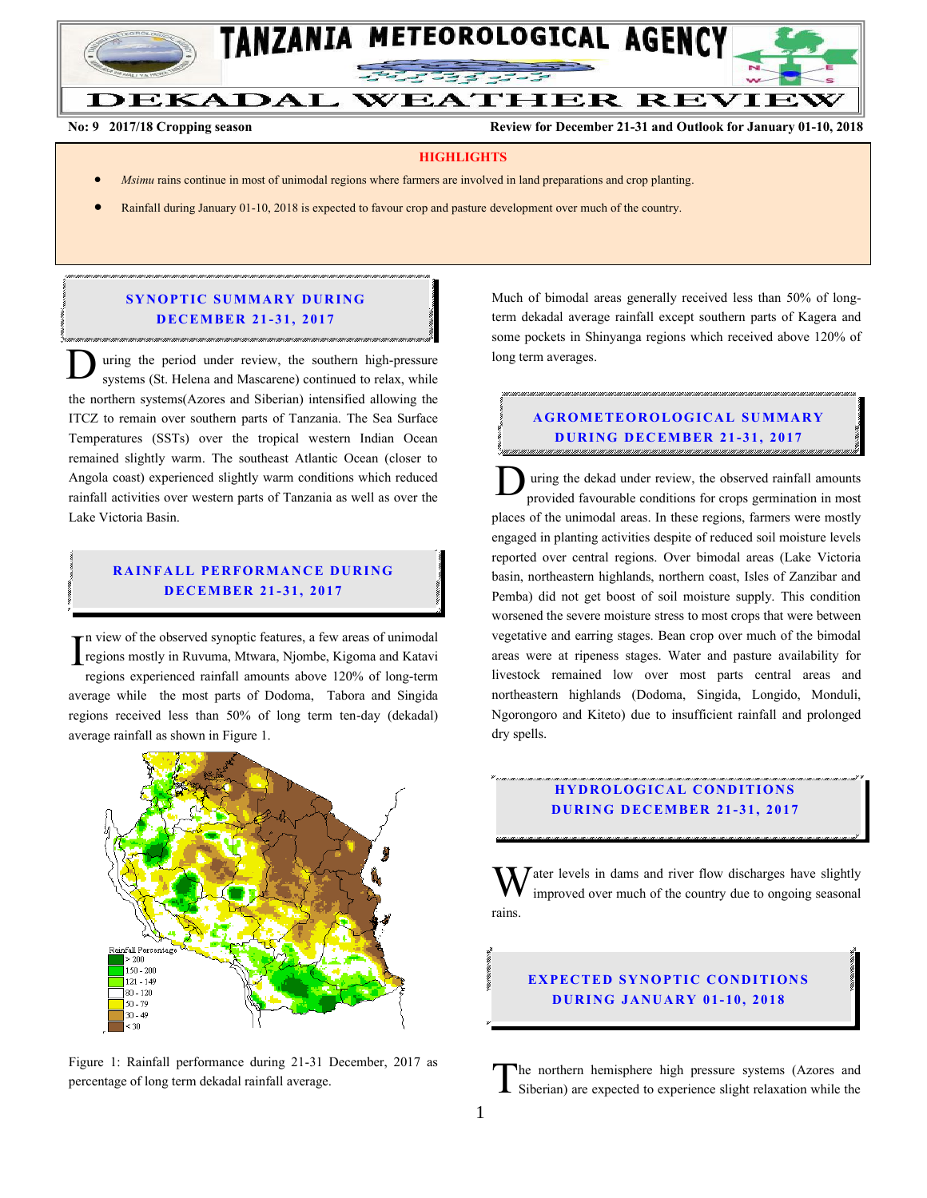

**No: 9 2017/18 Cropping season Review for December 21-31 and Outlook for January 01-10, 2018**

### **HIGHLIGHTS**

- *Msimu* rains continue in most of unimodal regions where farmers are involved in land preparations and crop planting.
- Rainfall during January 01-10, 2018 is expected to favour crop and pasture development over much of the country.

## **SYNOPTIC SUMMARY DURING D EC EMBER 21 - 31, 2017**

uring the period under review, the southern high-pressure systems (St. Helena and Mascarene) continued to relax, while the northern systems(Azores and Siberian) intensified allowing the ITCZ to remain over southern parts of Tanzania. The Sea Surface Temperatures (SSTs) over the tropical western Indian Ocean remained slightly warm. The southeast Atlantic Ocean (closer to Angola coast) experienced slightly warm conditions which reduced rainfall activities over western parts of Tanzania as well as over the Lake Victoria Basin. **D** 

### **RAINFALL PERFORMANCE DURING D EC EMBER 21 - 31, 2017**

n view of the observed synoptic features, a few areas of unimodal regions mostly in Ruvuma, Mtwara, Njombe, Kigoma and Katavi regions experienced rainfall amounts above 120% of long-term average while the most parts of Dodoma, Tabora and Singida regions received less than 50% of long term ten-day (dekadal) average rainfall as shown in Figure 1. I



Figure 1: Rainfall performance during 21-31 December, 2017 as percentage of long term dekadal rainfall average.

Much of bimodal areas generally received less than 50% of longterm dekadal average rainfall except southern parts of Kagera and some pockets in Shinyanga regions which received above 120% of long term averages.

## **A G RO METEO R O LOG ICA L SU MMA RY D UR ING D EC EMBER 21 - 31, 2017**

uring the dekad under review, the observed rainfall amounts provided favourable conditions for crops germination in most places of the unimodal areas. In these regions, farmers were mostly engaged in planting activities despite of reduced soil moisture levels reported over central regions. Over bimodal areas (Lake Victoria basin, northeastern highlands, northern coast, Isles of Zanzibar and Pemba) did not get boost of soil moisture supply. This condition worsened the severe moisture stress to most crops that were between vegetative and earring stages. Bean crop over much of the bimodal areas were at ripeness stages. Water and pasture availability for livestock remained low over most parts central areas and northeastern highlands (Dodoma, Singida, Longido, Monduli, Ngorongoro and Kiteto) due to insufficient rainfall and prolonged dry spells.  $\overline{\overline{D}}$ 

## **HYDROLOGICAL CONDITIONS DURING DECEMBER 21-31, 2017**

 $\bar{J}$  ater levels in dams and river flow discharges have slightly improved over much of the country due to ongoing seasonal rains. W

## **EXPECTED SYNOPTIC CONDITIONS D UR ING JANU AR Y 01- 10, 201 8**

he northern hemisphere high pressure systems (Azores and The northern hemisphere high pressure systems (Azores and Siberian) are expected to experience slight relaxation while the